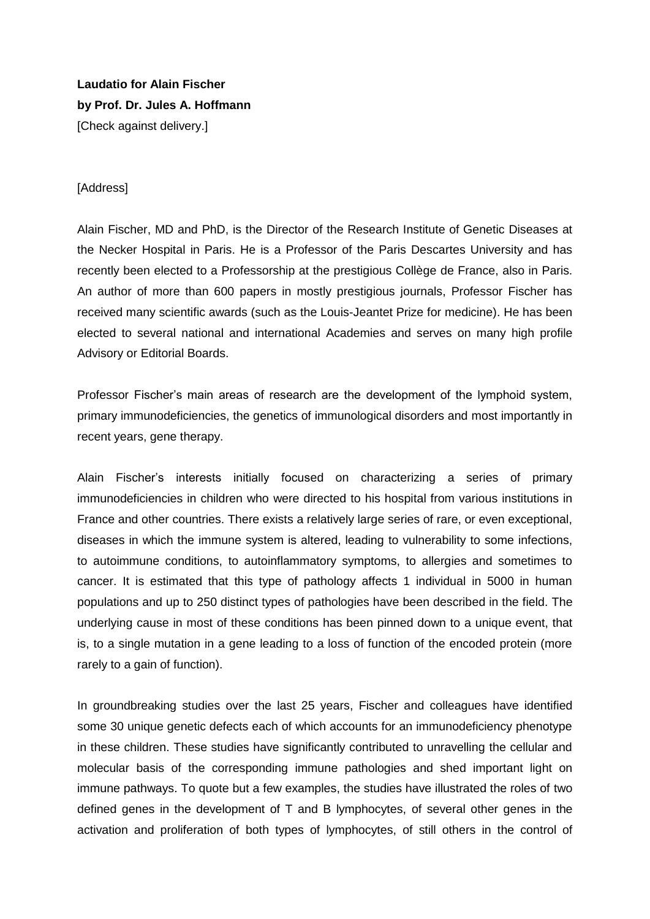**Laudatio for Alain Fischer by Prof. Dr. Jules A. Hoffmann** [Check against delivery.]

## [Address]

Alain Fischer, MD and PhD, is the Director of the Research Institute of Genetic Diseases at the Necker Hospital in Paris. He is a Professor of the Paris Descartes University and has recently been elected to a Professorship at the prestigious Collège de France, also in Paris. An author of more than 600 papers in mostly prestigious journals, Professor Fischer has received many scientific awards (such as the Louis-Jeantet Prize for medicine). He has been elected to several national and international Academies and serves on many high profile Advisory or Editorial Boards.

Professor Fischer's main areas of research are the development of the lymphoid system, primary immunodeficiencies, the genetics of immunological disorders and most importantly in recent years, gene therapy.

Alain Fischer's interests initially focused on characterizing a series of primary immunodeficiencies in children who were directed to his hospital from various institutions in France and other countries. There exists a relatively large series of rare, or even exceptional, diseases in which the immune system is altered, leading to vulnerability to some infections, to autoimmune conditions, to autoinflammatory symptoms, to allergies and sometimes to cancer. It is estimated that this type of pathology affects 1 individual in 5000 in human populations and up to 250 distinct types of pathologies have been described in the field. The underlying cause in most of these conditions has been pinned down to a unique event, that is, to a single mutation in a gene leading to a loss of function of the encoded protein (more rarely to a gain of function).

In groundbreaking studies over the last 25 years, Fischer and colleagues have identified some 30 unique genetic defects each of which accounts for an immunodeficiency phenotype in these children. These studies have significantly contributed to unravelling the cellular and molecular basis of the corresponding immune pathologies and shed important light on immune pathways. To quote but a few examples, the studies have illustrated the roles of two defined genes in the development of T and B lymphocytes, of several other genes in the activation and proliferation of both types of lymphocytes, of still others in the control of